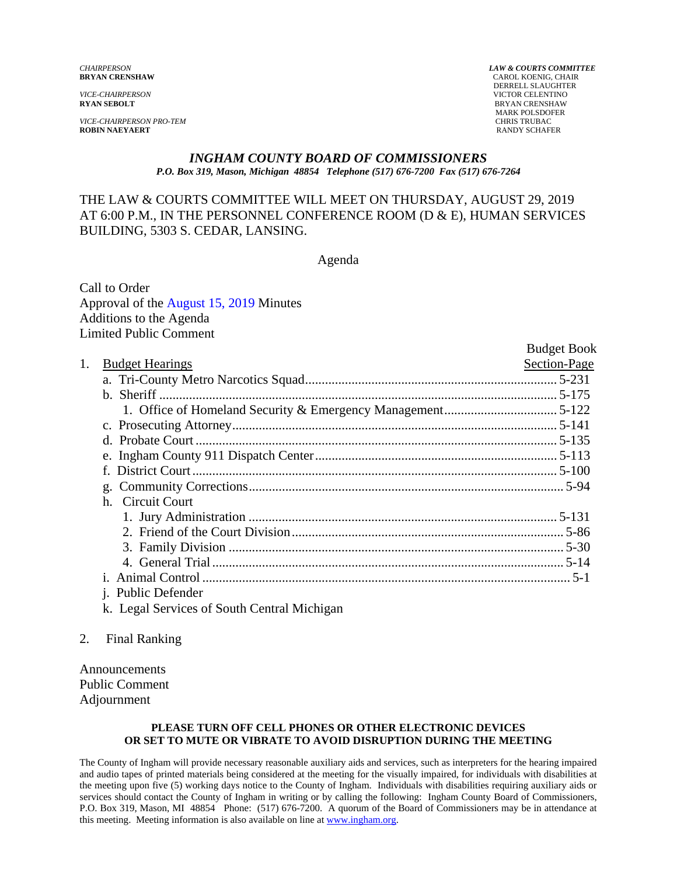*VICE-CHAIRPERSON PRO-TEM* CHRIS TRUBAC

*CHAIRPERSON LAW & COURTS COMMITTEE* **CAROL KOENIG, CHAIR**  DERRELL SLAUGHTER *VICE-CHAIRPERSON* VICTOR CELENTINO **RYAN SEBOLT** BRYAN CRENSHAW MARK POLSDOFER **RANDY SCHAFER** 

#### *INGHAM COUNTY BOARD OF COMMISSIONERS P.O. Box 319, Mason, Michigan 48854 Telephone (517) 676-7200 Fax (517) 676-7264*

### THE LAW & COURTS COMMITTEE WILL MEET ON THURSDAY, AUGUST 29, 2019 AT 6:00 P.M., IN THE PERSONNEL CONFERENCE ROOM (D & E), HUMAN SERVICES BUILDING, 5303 S. CEDAR, LANSING.

Agenda

Call to Order Approval of t[he August 15, 2019 Minutes](#page-1-0)  Additions to the Agenda Limited Public Comment

|    |                           | <b>Budget Book</b> |
|----|---------------------------|--------------------|
| 1. | <b>Budget Hearings</b>    | Section-Page       |
|    |                           |                    |
|    |                           |                    |
|    |                           |                    |
|    |                           |                    |
|    |                           |                    |
|    |                           |                    |
|    | $f_{\perp}$               |                    |
|    |                           |                    |
|    | h. Circuit Court          |                    |
|    |                           |                    |
|    |                           |                    |
|    |                           |                    |
|    |                           |                    |
|    |                           |                    |
|    | <i>i.</i> Public Defender |                    |
|    |                           |                    |

- k. Legal Services of South Central Michigan
- 2. Final Ranking

Announcements Public Comment Adjournment

#### **PLEASE TURN OFF CELL PHONES OR OTHER ELECTRONIC DEVICES OR SET TO MUTE OR VIBRATE TO AVOID DISRUPTION DURING THE MEETING**

The County of Ingham will provide necessary reasonable auxiliary aids and services, such as interpreters for the hearing impaired and audio tapes of printed materials being considered at the meeting for the visually impaired, for individuals with disabilities at the meeting upon five (5) working days notice to the County of Ingham. Individuals with disabilities requiring auxiliary aids or services should contact the County of Ingham in writing or by calling the following: Ingham County Board of Commissioners, P.O. Box 319, Mason, MI 48854 Phone: (517) 676-7200. A quorum of the Board of Commissioners may be in attendance at this meeting. Meeting information is also available on line at www.ingham.org.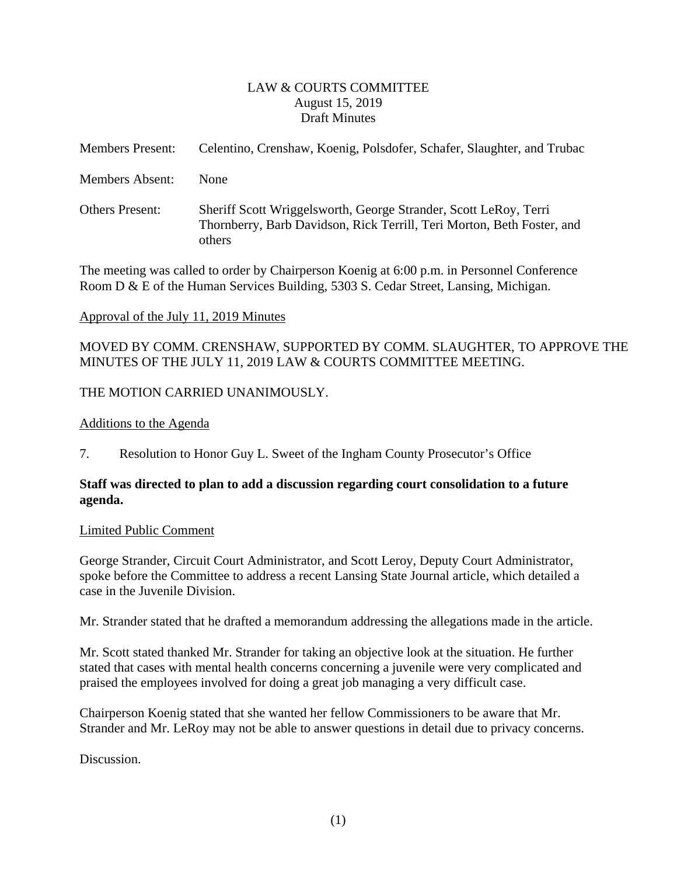### LAW & COURTS COMMITTEE August 15, 2019 Draft Minutes

<span id="page-1-0"></span>

| <b>Members Present:</b> | Celentino, Crenshaw, Koenig, Polsdofer, Schafer, Slaughter, and Trubac                                                                               |
|-------------------------|------------------------------------------------------------------------------------------------------------------------------------------------------|
| <b>Members Absent:</b>  | <b>None</b>                                                                                                                                          |
| <b>Others Present:</b>  | Sheriff Scott Wriggelsworth, George Strander, Scott LeRoy, Terri<br>Thornberry, Barb Davidson, Rick Terrill, Teri Morton, Beth Foster, and<br>others |

The meeting was called to order by Chairperson Koenig at 6:00 p.m. in Personnel Conference Room D & E of the Human Services Building, 5303 S. Cedar Street, Lansing, Michigan.

### Approval of the July 11, 2019 Minutes

MOVED BY COMM. CRENSHAW, SUPPORTED BY COMM. SLAUGHTER, TO APPROVE THE MINUTES OF THE JULY 11, 2019 LAW & COURTS COMMITTEE MEETING.

### THE MOTION CARRIED UNANIMOUSLY.

#### Additions to the Agenda

7. Resolution to Honor Guy L. Sweet of the Ingham County Prosecutor's Office

### **Staff was directed to plan to add a discussion regarding court consolidation to a future agenda.**

#### Limited Public Comment

George Strander, Circuit Court Administrator, and Scott Leroy, Deputy Court Administrator, spoke before the Committee to address a recent Lansing State Journal article, which detailed a case in the Juvenile Division.

Mr. Strander stated that he drafted a memorandum addressing the allegations made in the article.

Mr. Scott stated thanked Mr. Strander for taking an objective look at the situation. He further stated that cases with mental health concerns concerning a juvenile were very complicated and praised the employees involved for doing a great job managing a very difficult case.

Chairperson Koenig stated that she wanted her fellow Commissioners to be aware that Mr. Strander and Mr. LeRoy may not be able to answer questions in detail due to privacy concerns.

Discussion.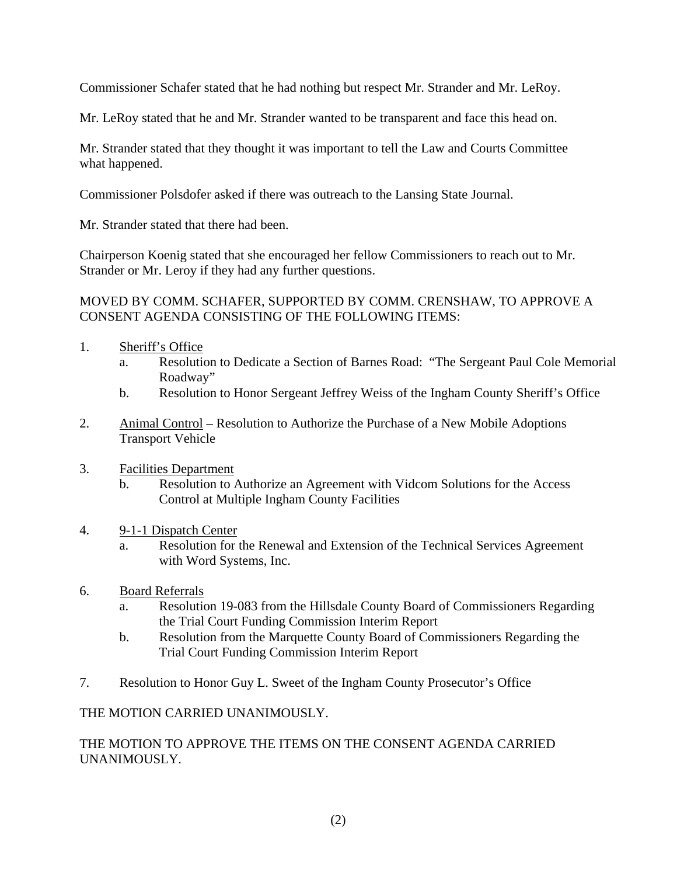Commissioner Schafer stated that he had nothing but respect Mr. Strander and Mr. LeRoy.

Mr. LeRoy stated that he and Mr. Strander wanted to be transparent and face this head on.

Mr. Strander stated that they thought it was important to tell the Law and Courts Committee what happened.

Commissioner Polsdofer asked if there was outreach to the Lansing State Journal.

Mr. Strander stated that there had been.

Chairperson Koenig stated that she encouraged her fellow Commissioners to reach out to Mr. Strander or Mr. Leroy if they had any further questions.

### MOVED BY COMM. SCHAFER, SUPPORTED BY COMM. CRENSHAW, TO APPROVE A CONSENT AGENDA CONSISTING OF THE FOLLOWING ITEMS:

- 1. Sheriff's Office
	- a. Resolution to Dedicate a Section of Barnes Road: "The Sergeant Paul Cole Memorial Roadway"
	- b. Resolution to Honor Sergeant Jeffrey Weiss of the Ingham County Sheriff's Office
- 2. Animal Control Resolution to Authorize the Purchase of a New Mobile Adoptions Transport Vehicle
- 3. Facilities Department
	- b. Resolution to Authorize an Agreement with Vidcom Solutions for the Access Control at Multiple Ingham County Facilities

### 4. 9-1-1 Dispatch Center

- a. Resolution for the Renewal and Extension of the Technical Services Agreement with Word Systems, Inc.
- 6. Board Referrals
	- a. Resolution 19-083 from the Hillsdale County Board of Commissioners Regarding the Trial Court Funding Commission Interim Report
	- b. Resolution from the Marquette County Board of Commissioners Regarding the Trial Court Funding Commission Interim Report
- 7. Resolution to Honor Guy L. Sweet of the Ingham County Prosecutor's Office

## THE MOTION CARRIED UNANIMOUSLY.

### THE MOTION TO APPROVE THE ITEMS ON THE CONSENT AGENDA CARRIED UNANIMOUSLY.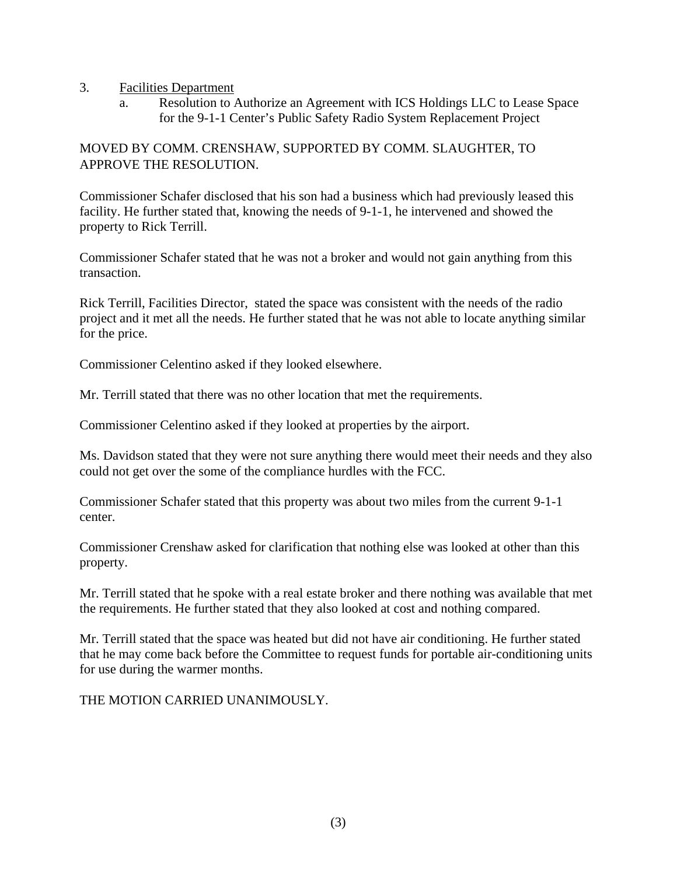#### 3. Facilities Department

a. Resolution to Authorize an Agreement with ICS Holdings LLC to Lease Space for the 9-1-1 Center's Public Safety Radio System Replacement Project

### MOVED BY COMM. CRENSHAW, SUPPORTED BY COMM. SLAUGHTER, TO APPROVE THE RESOLUTION.

Commissioner Schafer disclosed that his son had a business which had previously leased this facility. He further stated that, knowing the needs of 9-1-1, he intervened and showed the property to Rick Terrill.

Commissioner Schafer stated that he was not a broker and would not gain anything from this transaction.

Rick Terrill, Facilities Director, stated the space was consistent with the needs of the radio project and it met all the needs. He further stated that he was not able to locate anything similar for the price.

Commissioner Celentino asked if they looked elsewhere.

Mr. Terrill stated that there was no other location that met the requirements.

Commissioner Celentino asked if they looked at properties by the airport.

Ms. Davidson stated that they were not sure anything there would meet their needs and they also could not get over the some of the compliance hurdles with the FCC.

Commissioner Schafer stated that this property was about two miles from the current 9-1-1 center.

Commissioner Crenshaw asked for clarification that nothing else was looked at other than this property.

Mr. Terrill stated that he spoke with a real estate broker and there nothing was available that met the requirements. He further stated that they also looked at cost and nothing compared.

Mr. Terrill stated that the space was heated but did not have air conditioning. He further stated that he may come back before the Committee to request funds for portable air-conditioning units for use during the warmer months.

THE MOTION CARRIED UNANIMOUSLY.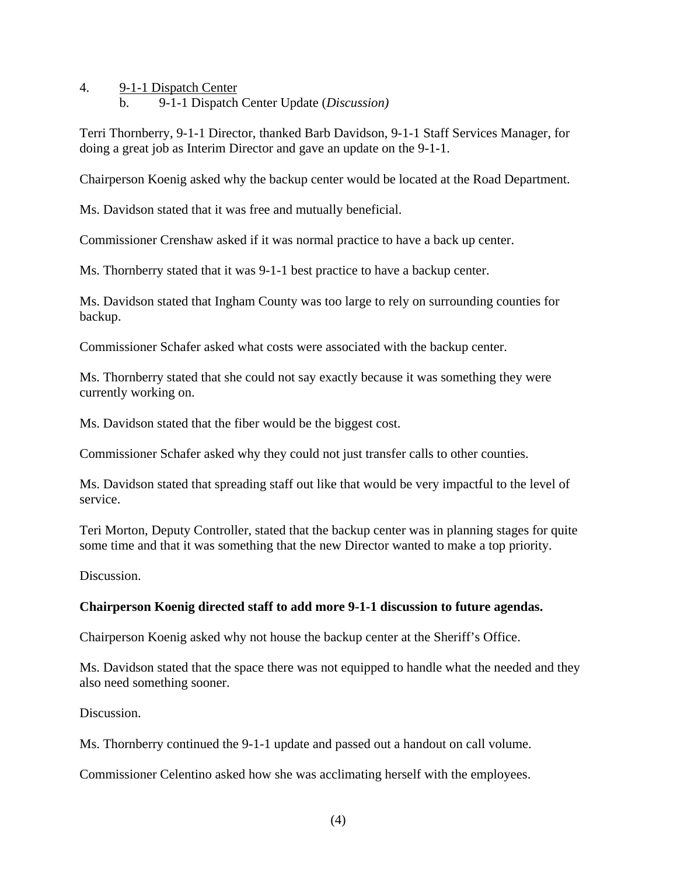- 4. 9-1-1 Dispatch Center
	- b. 9-1-1 Dispatch Center Update (*Discussion)*

Terri Thornberry, 9-1-1 Director, thanked Barb Davidson, 9-1-1 Staff Services Manager, for doing a great job as Interim Director and gave an update on the 9-1-1.

Chairperson Koenig asked why the backup center would be located at the Road Department.

Ms. Davidson stated that it was free and mutually beneficial.

Commissioner Crenshaw asked if it was normal practice to have a back up center.

Ms. Thornberry stated that it was 9-1-1 best practice to have a backup center.

Ms. Davidson stated that Ingham County was too large to rely on surrounding counties for backup.

Commissioner Schafer asked what costs were associated with the backup center.

Ms. Thornberry stated that she could not say exactly because it was something they were currently working on.

Ms. Davidson stated that the fiber would be the biggest cost.

Commissioner Schafer asked why they could not just transfer calls to other counties.

Ms. Davidson stated that spreading staff out like that would be very impactful to the level of service.

Teri Morton, Deputy Controller, stated that the backup center was in planning stages for quite some time and that it was something that the new Director wanted to make a top priority.

Discussion.

#### **Chairperson Koenig directed staff to add more 9-1-1 discussion to future agendas.**

Chairperson Koenig asked why not house the backup center at the Sheriff's Office.

Ms. Davidson stated that the space there was not equipped to handle what the needed and they also need something sooner.

Discussion.

Ms. Thornberry continued the 9-1-1 update and passed out a handout on call volume.

Commissioner Celentino asked how she was acclimating herself with the employees.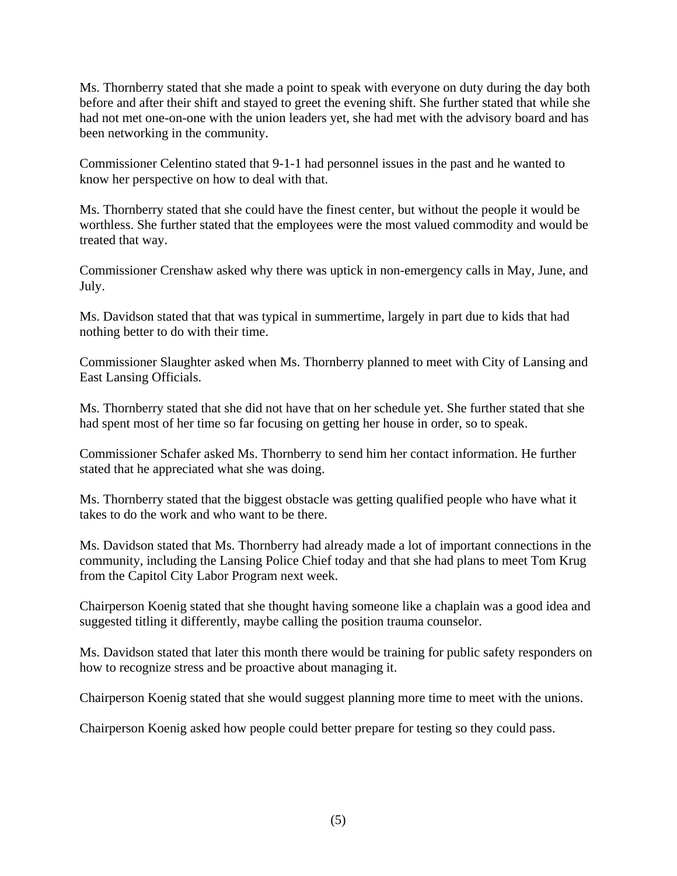Ms. Thornberry stated that she made a point to speak with everyone on duty during the day both before and after their shift and stayed to greet the evening shift. She further stated that while she had not met one-on-one with the union leaders yet, she had met with the advisory board and has been networking in the community.

Commissioner Celentino stated that 9-1-1 had personnel issues in the past and he wanted to know her perspective on how to deal with that.

Ms. Thornberry stated that she could have the finest center, but without the people it would be worthless. She further stated that the employees were the most valued commodity and would be treated that way.

Commissioner Crenshaw asked why there was uptick in non-emergency calls in May, June, and July.

Ms. Davidson stated that that was typical in summertime, largely in part due to kids that had nothing better to do with their time.

Commissioner Slaughter asked when Ms. Thornberry planned to meet with City of Lansing and East Lansing Officials.

Ms. Thornberry stated that she did not have that on her schedule yet. She further stated that she had spent most of her time so far focusing on getting her house in order, so to speak.

Commissioner Schafer asked Ms. Thornberry to send him her contact information. He further stated that he appreciated what she was doing.

Ms. Thornberry stated that the biggest obstacle was getting qualified people who have what it takes to do the work and who want to be there.

Ms. Davidson stated that Ms. Thornberry had already made a lot of important connections in the community, including the Lansing Police Chief today and that she had plans to meet Tom Krug from the Capitol City Labor Program next week.

Chairperson Koenig stated that she thought having someone like a chaplain was a good idea and suggested titling it differently, maybe calling the position trauma counselor.

Ms. Davidson stated that later this month there would be training for public safety responders on how to recognize stress and be proactive about managing it.

Chairperson Koenig stated that she would suggest planning more time to meet with the unions.

Chairperson Koenig asked how people could better prepare for testing so they could pass.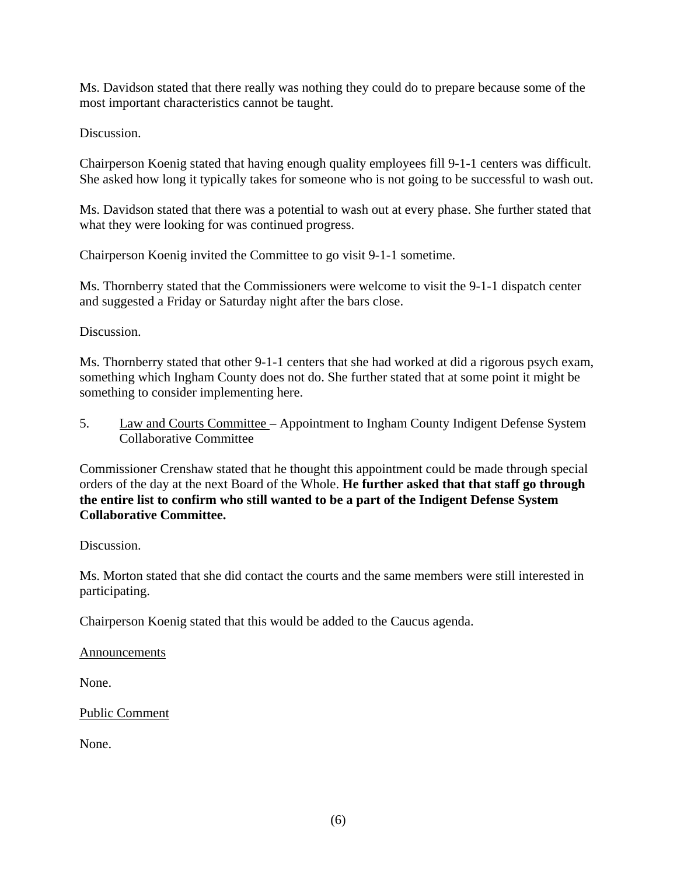Ms. Davidson stated that there really was nothing they could do to prepare because some of the most important characteristics cannot be taught.

Discussion.

Chairperson Koenig stated that having enough quality employees fill 9-1-1 centers was difficult. She asked how long it typically takes for someone who is not going to be successful to wash out.

Ms. Davidson stated that there was a potential to wash out at every phase. She further stated that what they were looking for was continued progress.

Chairperson Koenig invited the Committee to go visit 9-1-1 sometime.

Ms. Thornberry stated that the Commissioners were welcome to visit the 9-1-1 dispatch center and suggested a Friday or Saturday night after the bars close.

Discussion.

Ms. Thornberry stated that other 9-1-1 centers that she had worked at did a rigorous psych exam, something which Ingham County does not do. She further stated that at some point it might be something to consider implementing here.

5. Law and Courts Committee – Appointment to Ingham County Indigent Defense System Collaborative Committee

Commissioner Crenshaw stated that he thought this appointment could be made through special orders of the day at the next Board of the Whole. **He further asked that that staff go through the entire list to confirm who still wanted to be a part of the Indigent Defense System Collaborative Committee.** 

Discussion.

Ms. Morton stated that she did contact the courts and the same members were still interested in participating.

Chairperson Koenig stated that this would be added to the Caucus agenda.

Announcements

None.

Public Comment

None.